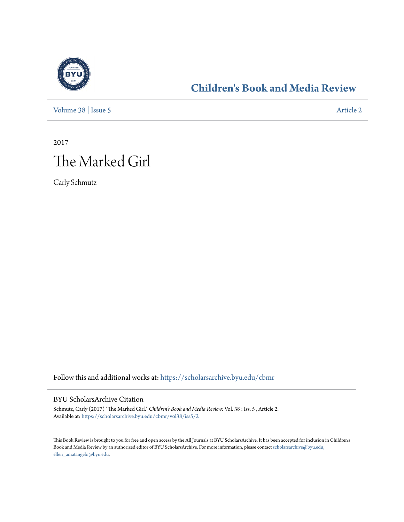

## **[Children's Book and Media Review](https://scholarsarchive.byu.edu/cbmr?utm_source=scholarsarchive.byu.edu%2Fcbmr%2Fvol38%2Fiss5%2F2&utm_medium=PDF&utm_campaign=PDFCoverPages)**

[Volume 38](https://scholarsarchive.byu.edu/cbmr/vol38?utm_source=scholarsarchive.byu.edu%2Fcbmr%2Fvol38%2Fiss5%2F2&utm_medium=PDF&utm_campaign=PDFCoverPages) | [Issue 5](https://scholarsarchive.byu.edu/cbmr/vol38/iss5?utm_source=scholarsarchive.byu.edu%2Fcbmr%2Fvol38%2Fiss5%2F2&utm_medium=PDF&utm_campaign=PDFCoverPages) [Article 2](https://scholarsarchive.byu.edu/cbmr/vol38/iss5/2?utm_source=scholarsarchive.byu.edu%2Fcbmr%2Fvol38%2Fiss5%2F2&utm_medium=PDF&utm_campaign=PDFCoverPages)

2017

## The Marked Girl

Carly Schmutz

Follow this and additional works at: [https://scholarsarchive.byu.edu/cbmr](https://scholarsarchive.byu.edu/cbmr?utm_source=scholarsarchive.byu.edu%2Fcbmr%2Fvol38%2Fiss5%2F2&utm_medium=PDF&utm_campaign=PDFCoverPages)

## BYU ScholarsArchive Citation

Schmutz, Carly (2017) "The Marked Girl," *Children's Book and Media Review*: Vol. 38 : Iss. 5 , Article 2. Available at: [https://scholarsarchive.byu.edu/cbmr/vol38/iss5/2](https://scholarsarchive.byu.edu/cbmr/vol38/iss5/2?utm_source=scholarsarchive.byu.edu%2Fcbmr%2Fvol38%2Fiss5%2F2&utm_medium=PDF&utm_campaign=PDFCoverPages)

This Book Review is brought to you for free and open access by the All Journals at BYU ScholarsArchive. It has been accepted for inclusion in Children's Book and Media Review by an authorized editor of BYU ScholarsArchive. For more information, please contact [scholarsarchive@byu.edu,](mailto:scholarsarchive@byu.edu,%20ellen_amatangelo@byu.edu) [ellen\\_amatangelo@byu.edu.](mailto:scholarsarchive@byu.edu,%20ellen_amatangelo@byu.edu)